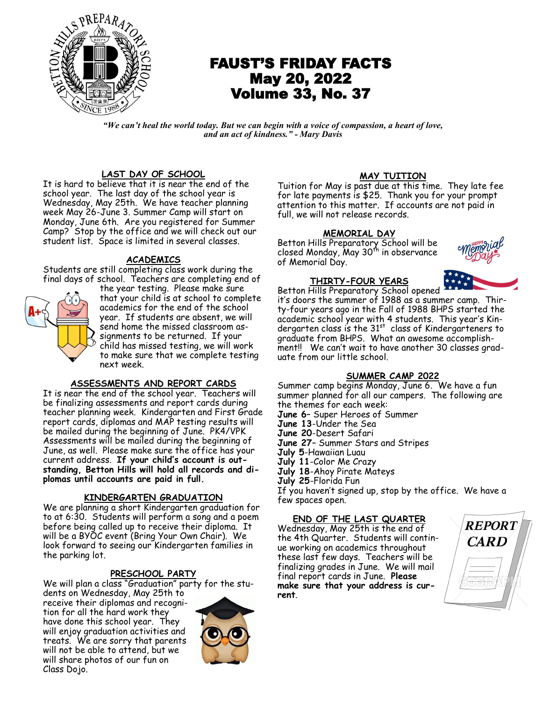

# FAUST'S FRIDAY FACTS May 20, 2022 Volume 33, No. 37

*"We can't heal the world today. But we can begin with a voice of compassion, a heart of love, and an act of kindness." - Mary Davis*

### **LAST DAY OF SCHOOL**

It is hard to believe that it is near the end of the school year. The last day of the school year is Wednesday, May 25th. We have teacher planning week May 26-June 3. Summer Camp will start on Monday, June 6th. Are you registered for Summer Camp? Stop by the office and we will check out our student list. Space is limited in several classes.

#### **ACADEMICS**

Students are still completing class work during the final days of school. Teachers are completing end of



the year testing. Please make sure that your child is at school to complete academics for the end of the school year. If students are absent, we will send home the missed classroom assignments to be returned. If your child has missed testing, we will work to make sure that we complete testing next week.

#### **ASSESSMENTS AND REPORT CARDS**

It is near the end of the school year. Teachers will be finalizing assessments and report cards during teacher planning week. Kindergarten and First Grade report cards, diplomas and MAP testing results will be mailed during the beginning of June. PK4/VPK Assessments will be mailed during the beginning of June, as well. Please make sure the office has your current address. **If your child's account is outstanding, Betton Hills will hold all records and diplomas until accounts are paid in full.** 

#### **KINDERGARTEN GRADUATION**

We are planning a short Kindergarten graduation for to at 6:30. Students will perform a song and a poem before being called up to receive their diploma. It will be a BYOC event (Bring Your Own Chair). We look forward to seeing our Kindergarten families in the parking lot.

#### **PRESCHOOL PARTY**

We will plan a class "Graduation" party for the students on Wednesday, May 25th to

receive their diplomas and recognition for all the hard work they have done this school year. They will enjoy graduation activities and treats. We are sorry that parents will not be able to attend, but we will share photos of our fun on Class Dojo.



#### **MAY TUITION**

Tuition for May is past due at this time. They late fee for late payments is \$25. Thank you for your prompt attention to this matter. If accounts are not paid in full, we will not release records.

#### **MEMORIAL DAY**

Betton Hills Preparatory School will be closed Monday, May 30<sup>th</sup> in observance of Memorial Day.

#### **THIRTY-FOUR YEARS**



Betton Hills Preparatory School opened it's doors the summer of 1988 as a summer camp. Thirty-four years ago in the Fall of 1988 BHPS started the academic school year with 4 students. This year's Kindergarten class is the 31st class of Kindergarteners to graduate from BHPS. What an awesome accomplishment!! We can't wait to have another 30 classes graduate from our little school.

#### **SUMMER CAMP 2022**

Summer camp begins Monday, June 6. We have a fun summer planned for all our campers. The following are the themes for each week: **June 6**– Super Heroes of Summer **June 13**-Under the Sea **June 20**-Desert Safari **June 27**– Summer Stars and Stripes **July 5**-Hawaiian Luau **July 11**-Color Me Crazy

**July 18**-Ahoy Pirate Mateys

**July 25**-Florida Fun

If you haven't signed up, stop by the office. We have a few spaces open.

## **END OF THE LAST QUARTER** Wednesday, May 25th is the end of

the 4th Quarter. Students will continue working on academics throughout these last few days. Teachers will be finalizing grades in June. We will mail final report cards in June. **Please make sure that your address is current**.